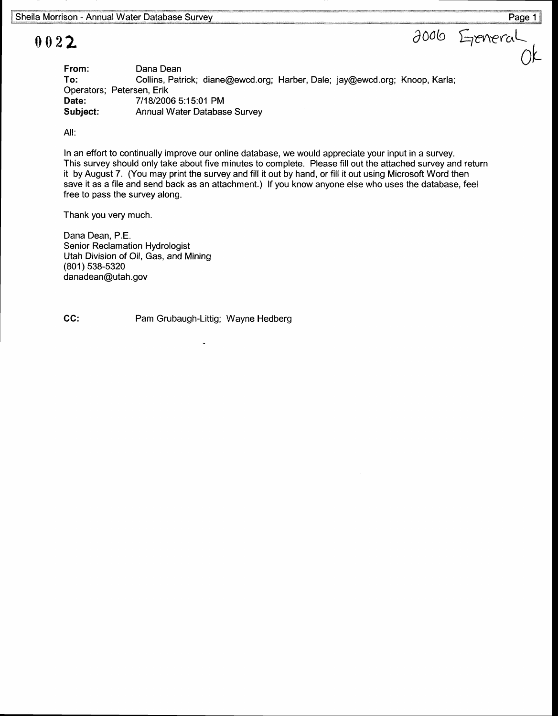## 0022

Dana Dean Collins, Patrick; diane@ewcd.org; Harber, Dale; jay@ewcd.org; Knoop, Karla; Operators; Petersen, Erik 711812006 5:15:01 PM Annual Water Database Survey From: To: Date: Subject:  $L$ reveral $\overline{O}$ k

Ail:

In an effort to continually improve our online database, we would appreciate your input in a survey. This survey should only take about five minutes to complete. Please fill out the attached survey and return it by August 7. (You may print the survey and fill it out by hand, or fill it out using Microsoft Word then save it as a file and send back as an attachment.) lf you know anyone else who uses the database, feel free to pass the survey along.

Thank you very much.

Dana Dean, P.E. Senior Reclamation Hydrologist Utah Division of Oil, Gas, and Mining (801) 538-5320 danadean@utah.gov

GG: Pam Grubaugh-Littig; Wayne Hedberg

 $\partial$ 006